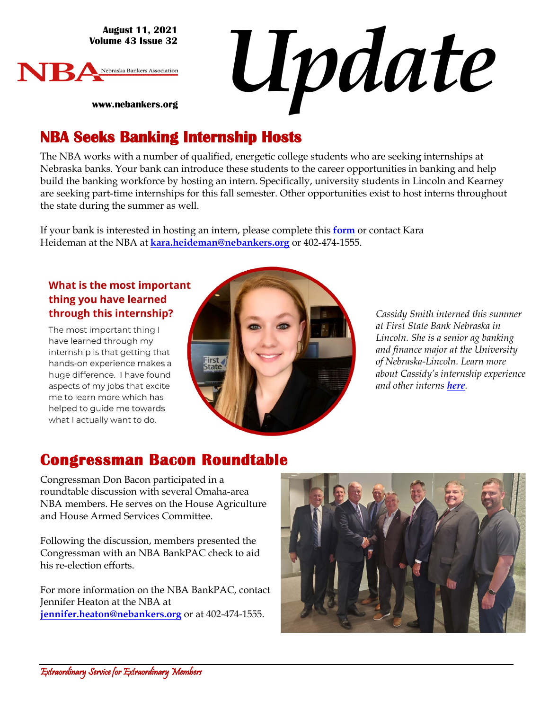**August 11, 2021 Volume 43 Issue 32**





**www.nebankers.org**

### **NBA Seeks Banking Internship Hosts**

The NBA works with a number of qualified, energetic college students who are seeking internships at Nebraska banks. Your bank can introduce these students to the career opportunities in banking and help build the banking workforce by hosting an intern. Specifically, university students in Lincoln and Kearney are seeking part-time internships for this fall semester. Other opportunities exist to host interns throughout the state during the summer as well.

If your bank is interested in hosting an intern, please complete this **[form](https://www.nebankers.org/intern-host.html)** or contact Kara Heideman at the NBA at **[kara.heideman@nebankers.org](mailto:kara.heideman@nebankers.org)** or 402-474-1555.

#### What is the most important thing you have learned through this internship?

The most important thing I have learned through my internship is that getting that hands-on experience makes a huge difference. I have found aspects of my jobs that excite me to learn more which has helped to guide me towards what I actually want to do.



*Cassidy Smith interned this summer at First State Bank Nebraska in Lincoln. She is a senior ag banking and finance major at the University of Nebraska-Lincoln. Learn more about Cassidy's internship experience and other interns [here](https://www.nebankers.org/interns.html).*

# **Congressman Bacon Roundtable**

Congressman Don Bacon participated in a roundtable discussion with several Omaha-area NBA members. He serves on the House Agriculture and House Armed Services Committee.

Following the discussion, members presented the Congressman with an NBA BankPAC check to aid his re-election efforts.

For more information on the NBA BankPAC, contact Jennifer Heaton at the NBA at **[jennifer.heaton@nebankers.org](mailto:jennifer.heaton@nebankers.org)** or at 402-474-1555.

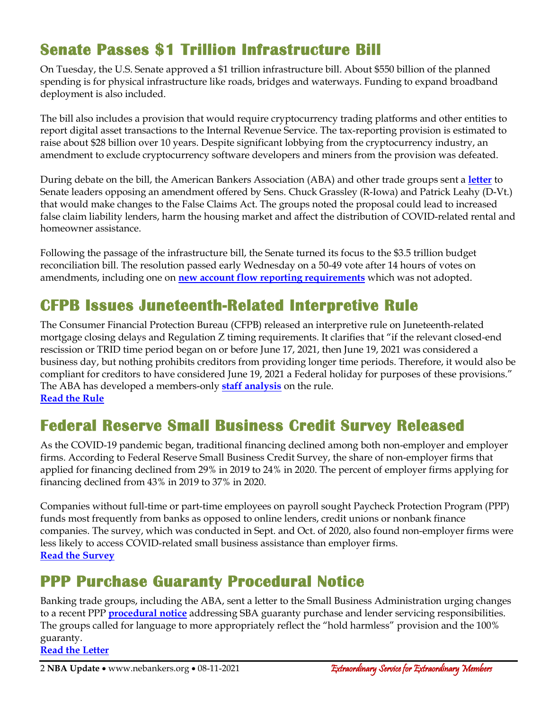# **Senate Passes \$1 Trillion Infrastructure Bill**

On Tuesday, the U.S. Senate approved a \$1 trillion infrastructure bill. About \$550 billion of the planned spending is for physical infrastructure like roads, bridges and waterways. Funding to expand broadband deployment is also included.

The bill also includes a provision that would require cryptocurrency trading platforms and other entities to report digital asset transactions to the Internal Revenue Service. The tax-reporting provision is estimated to raise about \$28 billion over 10 years. Despite significant lobbying from the cryptocurrency industry, an amendment to exclude cryptocurrency software developers and miners from the provision was defeated.

During debate on the bill, the American Bankers Association (ABA) and other trade groups sent a **[letter](https://www.aba.com/advocacy/policy-analysis/joint-trades-letter-to-senate-fca-amendment-2435)** to Senate leaders opposing an amendment offered by Sens. Chuck Grassley (R-Iowa) and Patrick Leahy (D-Vt.) that would make changes to the False Claims Act. The groups noted the proposal could lead to increased false claim liability lenders, harm the housing market and affect the distribution of COVID-related rental and homeowner assistance.

Following the passage of the infrastructure bill, the Senate turned its focus to the \$3.5 trillion budget reconciliation bill. The resolution passed early Wednesday on a 50-49 vote after 14 hours of votes on amendments, including one on **[new account flow reporting requirements](https://bankingjournal.aba.com/2021/08/aba-supports-amendment-blocking-creation-of-new-account-flow-reporting-requirements/)** which was not adopted.

# **CFPB Issues Juneteenth-Related Interpretive Rule**

The Consumer Financial Protection Bureau (CFPB) released an interpretive rule on Juneteenth-related mortgage closing delays and Regulation Z timing requirements. It clarifies that "if the relevant closed-end rescission or TRID time period began on or before June 17, 2021, then June 19, 2021 was considered a business day, but nothing prohibits creditors from providing longer time periods. Therefore, it would also be compliant for creditors to have considered June 19, 2021 a Federal holiday for purposes of these provisions." The ABA has developed a members-only **[staff analysis](https://www.aba.com/advocacy/policy-analysis/cfpb-juneteenth-holiday-impact)** on the rule. **[Read the Rule](https://files.consumerfinance.gov/f/documents/cfpb_juneteenth-holiday_interpretive-rule_2021-08.pdf)**

### **Federal Reserve Small Business Credit Survey Released**

As the COVID-19 pandemic began, traditional financing declined among both non-employer and employer firms. According to Federal Reserve [Small Business Credit Survey,](https://www.fedsmallbusiness.org/medialibrary/FedSmallBusiness/files/2021/2021-sbcs-nonemployer-firms-report) the share of non-employer firms that applied for financing declined from 29% in 2019 to 24% in 2020. The percent of employer firms applying for financing declined from 43% in 2019 to 37% in 2020.

Companies without full-time or part-time employees on payroll sought Paycheck Protection Program (PPP) funds most frequently from banks as opposed to online lenders, credit unions or nonbank finance companies. The survey, which was conducted in Sept. and Oct. of 2020, also found non-employer firms were less likely to access COVID-related small business assistance than employer firms. **[Read the Survey](https://www.fedsmallbusiness.org/medialibrary/FedSmallBusiness/files/2021/2021-sbcs-nonemployer-firms-report)**

### **PPP Purchase Guaranty Procedural Notice**

Banking trade groups, including the ABA, sent a letter to the Small Business Administration urging changes to a recent PPP **[procedural notice](https://www.sba.gov/document/procedural-notice-5000-812316-ppp-guaranty-purchases-charge-offs-lender-servicing-responsibilities)** addressing SBA guaranty purchase and lender servicing responsibilities. The groups called for language to more appropriately reflect the "hold harmless" provision and the 100% guaranty. **[Read the Letter](https://www.aba.com/advocacy/policy-analysis/sba-ltr-revision-lender-certifications)**

2 NBA Update • www.nebankers.org • 08-11-2021 **Extraordinary Service for Extraordinary Members**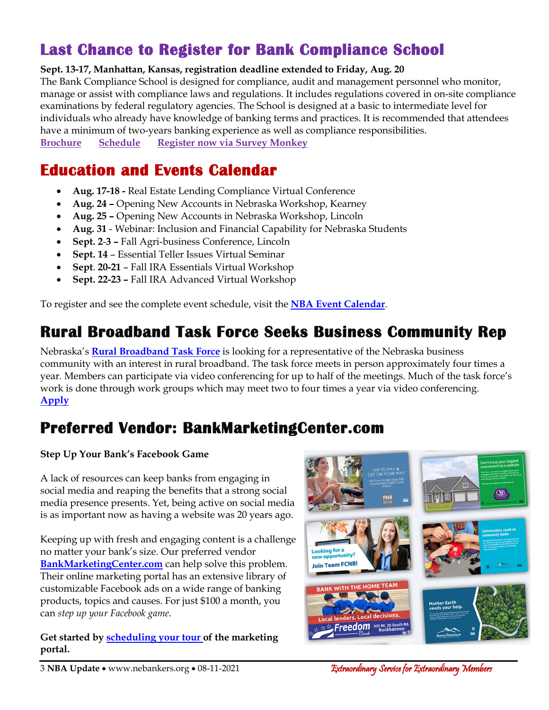# **Last Chance to Register for Bank Compliance School**

#### **Sept. 13-17, Manhattan, Kansas, registration deadline extended to Friday, Aug. 20**

The Bank Compliance School is designed for compliance, audit and management personnel who monitor, manage or assist with compliance laws and regulations. It includes regulations covered in on-site compliance examinations by federal regulatory agencies. The School is designed at a basic to intermediate level for individuals who already have knowledge of banking terms and practices. It is recommended that attendees have a minimum of two-years banking experience as well as compliance responsibilities. **[Brochure](https://img1.wsimg.com/blobby/go/7c1e6403-21fb-4528-bf6c-3772528748a4/downloads/2021%20BCS%20Brochure.pdf?ver=1609266494805) [Schedule](https://img1.wsimg.com/blobby/go/7c1e6403-21fb-4528-bf6c-3772528748a4/downloads/2021%20BCS%20Schedule.pdf?ver=1609265890682) [Register now via Survey Monkey](https://www.surveymonkey.com/r/2021_BCS_Application)**

**Education and Events Calendar** 

- **Aug. 17-18 -** Real Estate Lending Compliance Virtual Conference
- **Aug. 24 –** Opening New Accounts in Nebraska Workshop, Kearney
- **Aug. 25 –** Opening New Accounts in Nebraska Workshop, Lincoln
- **Aug. 31** Webinar: Inclusion and Financial Capability for Nebraska Students
- **Sept. 2**-**3 –** Fall Agri-business Conference, Lincoln
- **Sept. 14**  Essential Teller Issues Virtual Seminar
- **Sept**. **20-21** Fall IRA Essentials Virtual Workshop
- **Sept. 22-23 –** Fall IRA Advanced Virtual Workshop

To register and see the complete event schedule, visit the **[NBA Event Calendar](https://web.nebankers.org/events)**.

## **Rural Broadband Task Force Seeks Business Community Rep**

Nebraska's **[Rural Broadband Task Force](https://ruralbroadband.nebraska.gov/)** is looking for a representative of the Nebraska business community with an interest in rural broadband. The task force meets in person approximately four times a year. Members can participate via video conferencing for up to half of the meetings. Much of the task force's work is done through work groups which may meet two to four times a year via video conferencing. **[Apply](https://governor.nebraska.gov/board-comm-req)**

## **Preferred Vendor: BankMarketingCenter.com**

#### **Step Up Your Bank's Facebook Game**

A lack of resources can keep banks from engaging in social media and reaping the benefits that a strong social media presence presents. Yet, being active on social media is as important now as having a website was 20 years ago.

Keeping up with fresh and engaging content is a challenge no matter your bank's size. Our preferred vendor **[BankMarketingCenter.com](https://www.bankmarketingcenter.com/)** can help solve this problem. Their online marketing portal has an extensive library of customizable Facebook ads on a wide range of banking products, topics and causes. For just \$100 a month, you can *step up your Facebook game*.

**Get started b[y scheduling your tour](https://calendly.com/bankmarketingcenter/demo?utm_source=Facebook) of the marketing portal.**